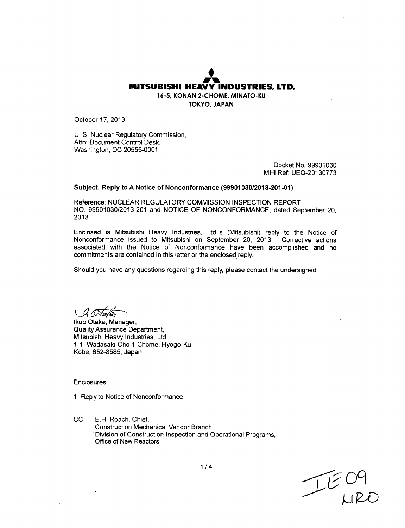## **MITSUBISHI** HEAVY **JA INDUSTRIES,** LTD. **16-5, KONAN 2-CHOME, MINATO-KU TOKYO, JAPAN**

October **17,** 2013

**U. S.** Nuclear Regulatory Commission, Attn: Document Control Desk, Washington, DC 20555-0001

> Docket No. 99901030 MHI Ref: UEQ-20130773

### Subject: Reply to A Notice of Nonconformance **(9990103012013-201-01)**

Reference: NUCLEAR REGULATORY COMMISSION INSPECTION REPORT NO. 99901030/2013-201 and NOTICE OF NONCONFORMANCE, dated September 20, 2013

Enclosed is Mitsubishi Heavy Industries, Ltd.'s (Mitsubishi) reply to the Notice of Nonconformance issued to Mitsubishi on September 20, 2013. Corrective actions associated with the Notice of Nonconformance have been accomplished and no commitments are contained in this letter or the enclosed reply.

Should you have any questions regarding this reply, please contact the undersigned.

Ikuo Otake, Manager, Quality Assurance Department, Mitsubishi Heavy Industries, Ltd. 1-1. Wadasaki-Cho 1-Chome, Hyogo-Ku Kobe, 652-8585, Japan

Enclosures:

1. Reply to Notice of Nonconformance

**CC: E.H.** Roach, Chief, Construction Mechanical Vendor Branch, Division of Construction Inspection and Operational Programs, Office of New Reactors

**c)(9~**

1/4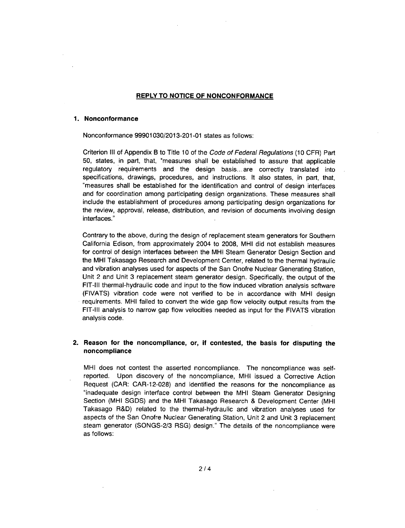### REPLY TO **NOTICE** OF **NONCONFORMANCE**

#### **1.** Nonconformance

Nonconformance 99901030/2013-201-01 states as follows:

Criterion **III** of Appendix B to Title 10 of the *Code of Federal Regulations* (10 CFR) Part 50, states, in part, that, "measures shall be established to assure that applicable regulatory requirements and the design basis... are correctly translated into specifications, drawings, procedures, and instructions. It also states, in part, that, "measures shall be established for the identification and control of design interfaces and for coordination among participating design organizations. These measures shall include the establishment of procedures among participating design organizations for the review, approval, release, distribution, and revision of documents involving design interfaces."

Contrary to the above, during the design of replacement steam generators for Southern California Edison, from approximately 2004 to 2008, MHI did not establish measures for control of design interfaces between the MHI Steam Generator Design Section and the MHI Takasago Research and Development Center, related to the thermal hydraulic and vibration analyses used for aspects of the San Onofre Nuclear Generating Station, Unit 2 and Unit 3 replacement steam generator design. Specifically, the output of the FIT-Ill thermal-hydraulic code and input to the flow induced vibration analysis software (FIVATS) vibration code were not verified to be in accordance with MHI design requirements. MHI failed to convert the wide gap flow velocity output results from the FIT-Ill analysis to narrow gap flow velocities needed as input for the FIVATS vibration analysis code.

# 2. Reason for the noncompliance, or, **if** contested, the basis for disputing the noncompliance

MHI does not contest the asserted noncompliance. The noncompliance was selfreported. Upon discovery of the noncompliance, MHI issued a Corrective Action Request (CAR: CAR-12-028) and identified the reasons for the noncompliance as "inadequate design interface control between the MHI Steam Generator Designing Section (MHI SGDS) and the MHI Takasago Research & Development Center (MHI Takasago R&D) related to the thermal-hydraulic and vibration analyses used for aspects of the San Onofre Nuclear Generating Station, Unit 2 and Unit 3 replacement steam generator (SONGS-2/3 RSG) design." The details of the noncompliance were as follows: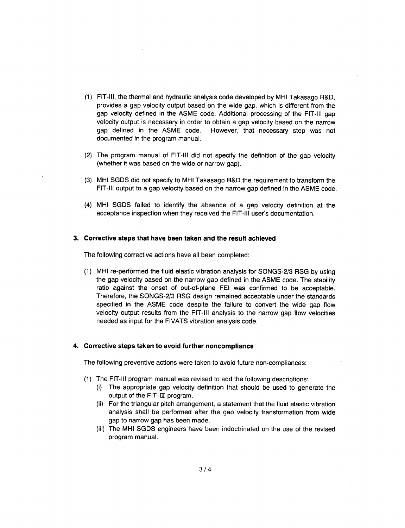- (1) FIT-Ill, the thermal and hydraulic analysis code developed by MHI Takasago R&D, provides a gap velocity output based on the wide gap, which is different from the gap velocity defined in the ASME code. Additional processing of the FIT-Ill gap velocity output is necessary in order to obtain a gap velocity based on the narrow gap defined in the ASME code. However, that necessary step was not documented in the program manual.
- (2) The program manual of FIT-Ill did not specify the definition of the gap velocity (whether it was based on the wide or narrow gap).
- (3) MHI SGDS did not specify to MHI Takasago R&D the requirement to transform the FIT-Ill output to a gap velocity based on the narrow gap defined in the ASME code.
- (4) MHI SGDS failed to identify the absence of a gap velocity definition at the acceptance inspection when they received the FIT-Ill user's documentation.

#### 3. Corrective steps that have been taken and the result achieved

The following corrective actions have all been completed:

(1) MHI re-performed the fluid elastic vibration analysis for SONGS-2/3 RSG by using the gap velocity based on the narrow gap defined in the ASME code. The stability ratio against the onset of out-of-plane **FEI** was confirmed to be acceptable. Therefore, the SONGS-2/3 RSG design remained acceptable under the standards specified in the ASME code despite the failure to convert the wide gap flow velocity output results from the FIT-Ill analysis to the narrow gap flow velocities needed as input for the FIVATS vibration analysis code.

## 4. Corrective steps taken to avoid further noncompliance

The following preventive actions were taken to avoid future non-compliances:

- (1) The FIT-Ill program manual was revised to add the following descriptions:
	- (i) The appropriate gap velocity definition that should be used to generate the output of the FIT- $III$  program.
	- (ii) For the triangular pitch arrangement, a statement that the fluid elastic vibration analysis shall be performed after the gap velocity transformation from wide gap to narrow gap has been made.
	- (iii) The MHI SGDS engineers have been indoctrinated on the use of the revised program manual.